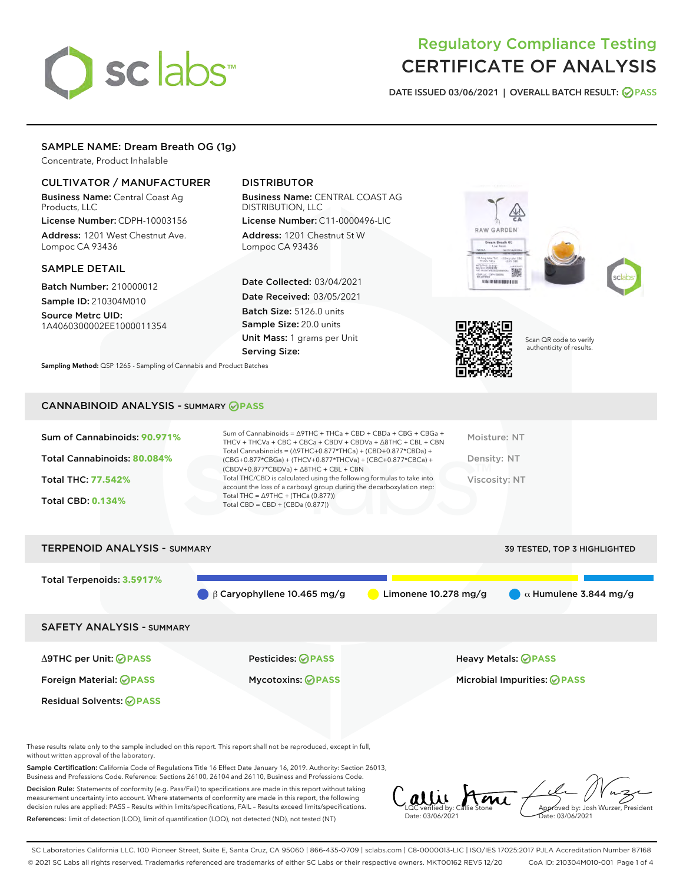# sclabs

## Regulatory Compliance Testing CERTIFICATE OF ANALYSIS

DATE ISSUED 03/06/2021 | OVERALL BATCH RESULT: @ PASS

#### SAMPLE NAME: Dream Breath OG (1g)

Concentrate, Product Inhalable

#### CULTIVATOR / MANUFACTURER

Business Name: Central Coast Ag Products, LLC

License Number: CDPH-10003156 Address: 1201 West Chestnut Ave. Lompoc CA 93436

#### SAMPLE DETAIL

Batch Number: 210000012 Sample ID: 210304M010

Source Metrc UID: 1A4060300002EE1000011354

### DISTRIBUTOR

Business Name: CENTRAL COAST AG DISTRIBUTION, LLC

License Number: C11-0000496-LIC Address: 1201 Chestnut St W Lompoc CA 93436

Date Collected: 03/04/2021 Date Received: 03/05/2021 Batch Size: 5126.0 units Sample Size: 20.0 units Unit Mass: 1 grams per Unit Serving Size:

Sampling Method: QSP 1265 - Sampling of Cannabis and Product Batches









Scan QR code to verify authenticity of results.

#### CANNABINOID ANALYSIS - SUMMARY **PASS**

| Sum of Cannabinoids: 90.971%<br>Total Cannabinoids: 80.084%<br><b>Total THC: 77.542%</b><br><b>Total CBD: 0.134%</b> | Sum of Cannabinoids = $\triangle$ 9THC + THCa + CBD + CBDa + CBG + CBGa +<br>THCV + THCVa + CBC + CBCa + CBDV + CBDVa + $\land$ 8THC + CBL + CBN<br>Total Cannabinoids = $(\Delta 9THC+0.877*THCa) + (CBD+0.877*CBDa) +$<br>$(CBG+0.877*CBGa) + (THCV+0.877*THCVa) + (CBC+0.877*CBCa) +$<br>$(CBDV+0.877*CBDVa) + \Delta 8THC + CBL + CBN$<br>Total THC/CBD is calculated using the following formulas to take into<br>account the loss of a carboxyl group during the decarboxylation step:<br>Total THC = $\triangle$ 9THC + (THCa (0.877))<br>Total CBD = $CBD + (CBDa (0.877))$ | Moisture: NT<br>Density: NT<br>Viscosity: NT |
|----------------------------------------------------------------------------------------------------------------------|-------------------------------------------------------------------------------------------------------------------------------------------------------------------------------------------------------------------------------------------------------------------------------------------------------------------------------------------------------------------------------------------------------------------------------------------------------------------------------------------------------------------------------------------------------------------------------------|----------------------------------------------|
| <b>TERPENOID ANALYSIS - SUMMARY</b>                                                                                  |                                                                                                                                                                                                                                                                                                                                                                                                                                                                                                                                                                                     | <b>39 TESTED, TOP 3 HIGHLIGHTED</b>          |



These results relate only to the sample included on this report. This report shall not be reproduced, except in full, without written approval of the laboratory.

Sample Certification: California Code of Regulations Title 16 Effect Date January 16, 2019. Authority: Section 26013, Business and Professions Code. Reference: Sections 26100, 26104 and 26110, Business and Professions Code.

Decision Rule: Statements of conformity (e.g. Pass/Fail) to specifications are made in this report without taking measurement uncertainty into account. Where statements of conformity are made in this report, the following decision rules are applied: PASS – Results within limits/specifications, FAIL – Results exceed limits/specifications. References: limit of detection (LOD), limit of quantification (LOQ), not detected (ND), not tested (NT)

LQC verified by: Callie Stone Date: 03/06/2021 Approved by: Josh Wurzer, President Date: 03/06/2021

SC Laboratories California LLC. 100 Pioneer Street, Suite E, Santa Cruz, CA 95060 | 866-435-0709 | sclabs.com | C8-0000013-LIC | ISO/IES 17025:2017 PJLA Accreditation Number 87168 © 2021 SC Labs all rights reserved. Trademarks referenced are trademarks of either SC Labs or their respective owners. MKT00162 REV5 12/20 CoA ID: 210304M010-001 Page 1 of 4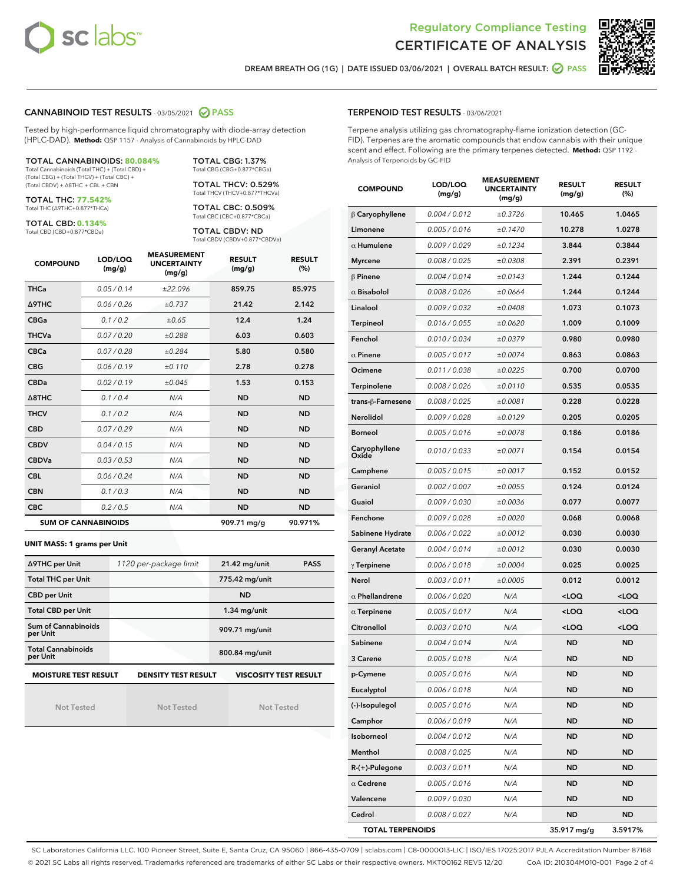



DREAM BREATH OG (1G) | DATE ISSUED 03/06/2021 | OVERALL BATCH RESULT: **○** PASS

#### CANNABINOID TEST RESULTS - 03/05/2021 2 PASS

Tested by high-performance liquid chromatography with diode-array detection (HPLC-DAD). **Method:** QSP 1157 - Analysis of Cannabinoids by HPLC-DAD

#### TOTAL CANNABINOIDS: **80.084%**

Total Cannabinoids (Total THC) + (Total CBD) + (Total CBG) + (Total THCV) + (Total CBC) + (Total CBDV) + ∆8THC + CBL + CBN

TOTAL THC: **77.542%** Total THC (∆9THC+0.877\*THCa)

TOTAL CBD: **0.134%**

Total CBD (CBD+0.877\*CBDa)

TOTAL CBG: 1.37% Total CBG (CBG+0.877\*CBGa) TOTAL THCV: 0.529%

Total THCV (THCV+0.877\*THCVa)

TOTAL CBC: 0.509% Total CBC (CBC+0.877\*CBCa)

TOTAL CBDV: ND Total CBDV (CBDV+0.877\*CBDVa)

| <b>COMPOUND</b> | LOD/LOQ<br>(mg/g)          | <b>MEASUREMENT</b><br><b>UNCERTAINTY</b><br>(mg/g) | <b>RESULT</b><br>(mg/g) | <b>RESULT</b><br>(%) |
|-----------------|----------------------------|----------------------------------------------------|-------------------------|----------------------|
| <b>THCa</b>     | 0.05 / 0.14                | ±22.096                                            | 859.75                  | 85.975               |
| <b>A9THC</b>    | 0.06/0.26                  | ±0.737                                             | 21.42                   | 2.142                |
| <b>CBGa</b>     | 0.1 / 0.2                  | ±0.65                                              | 12.4                    | 1.24                 |
| <b>THCVa</b>    | 0.07/0.20                  | ±0.288                                             | 6.03                    | 0.603                |
| <b>CBCa</b>     | 0.07 / 0.28                | ±0.284                                             | 5.80                    | 0.580                |
| <b>CBG</b>      | 0.06/0.19                  | ±0.110                                             | 2.78                    | 0.278                |
| <b>CBDa</b>     | 0.02/0.19                  | ±0.045                                             | 1.53                    | 0.153                |
| A8THC           | 0.1/0.4                    | N/A                                                | <b>ND</b>               | <b>ND</b>            |
| <b>THCV</b>     | 0.1/0.2                    | N/A                                                | <b>ND</b>               | <b>ND</b>            |
| <b>CBD</b>      | 0.07/0.29                  | N/A                                                | <b>ND</b>               | <b>ND</b>            |
| <b>CBDV</b>     | 0.04/0.15                  | N/A                                                | <b>ND</b>               | <b>ND</b>            |
| <b>CBDVa</b>    | 0.03/0.53                  | N/A                                                | <b>ND</b>               | <b>ND</b>            |
| <b>CBL</b>      | 0.06/0.24                  | N/A                                                | <b>ND</b>               | <b>ND</b>            |
| <b>CBN</b>      | 0.1 / 0.3                  | N/A                                                | <b>ND</b>               | <b>ND</b>            |
| <b>CBC</b>      | 0.2 / 0.5                  | N/A                                                | <b>ND</b>               | <b>ND</b>            |
|                 | <b>SUM OF CANNABINOIDS</b> |                                                    | 909.71 mg/g             | 90.971%              |

#### **UNIT MASS: 1 grams per Unit**

| ∆9THC per Unit                         | 1120 per-package limit     | 21.42 mg/unit<br><b>PASS</b> |  |
|----------------------------------------|----------------------------|------------------------------|--|
| <b>Total THC per Unit</b>              |                            | 775.42 mg/unit               |  |
| <b>CBD per Unit</b>                    |                            | <b>ND</b>                    |  |
| <b>Total CBD per Unit</b>              |                            | $1.34$ mg/unit               |  |
| <b>Sum of Cannabinoids</b><br>per Unit |                            | 909.71 mg/unit               |  |
| <b>Total Cannabinoids</b><br>per Unit  |                            | 800.84 mg/unit               |  |
| <b>MOISTURE TEST RESULT</b>            | <b>DENSITY TEST RESULT</b> | <b>VISCOSITY TEST RESULT</b> |  |

Not Tested

Not Tested

Not Tested

#### TERPENOID TEST RESULTS - 03/06/2021

Terpene analysis utilizing gas chromatography-flame ionization detection (GC-FID). Terpenes are the aromatic compounds that endow cannabis with their unique scent and effect. Following are the primary terpenes detected. **Method:** QSP 1192 - Analysis of Terpenoids by GC-FID

| <b>COMPOUND</b>         | LOD/LOQ<br>(mg/g) | <b>MEASUREMENT</b><br><b>UNCERTAINTY</b><br>(mg/g) | <b>RESULT</b><br>(mg/g)                         | <b>RESULT</b><br>$(\%)$ |
|-------------------------|-------------------|----------------------------------------------------|-------------------------------------------------|-------------------------|
| $\beta$ Caryophyllene   | 0.004 / 0.012     | ±0.3726                                            | 10.465                                          | 1.0465                  |
| Limonene                | 0.005 / 0.016     | ±0.1470                                            | 10.278                                          | 1.0278                  |
| $\alpha$ Humulene       | 0.009/0.029       | ±0.1234                                            | 3.844                                           | 0.3844                  |
| <b>Myrcene</b>          | 0.008 / 0.025     | ±0.0308                                            | 2.391                                           | 0.2391                  |
| $\beta$ Pinene          | 0.004 / 0.014     | ±0.0143                                            | 1.244                                           | 0.1244                  |
| $\alpha$ Bisabolol      | 0.008 / 0.026     | ±0.0664                                            | 1.244                                           | 0.1244                  |
| Linalool                | 0.009 / 0.032     | ±0.0408                                            | 1.073                                           | 0.1073                  |
| Terpineol               | 0.016 / 0.055     | ±0.0620                                            | 1.009                                           | 0.1009                  |
| Fenchol                 | 0.010 / 0.034     | ±0.0379                                            | 0.980                                           | 0.0980                  |
| $\alpha$ Pinene         | 0.005 / 0.017     | ±0.0074                                            | 0.863                                           | 0.0863                  |
| Ocimene                 | 0.011 / 0.038     | ±0.0225                                            | 0.700                                           | 0.0700                  |
| Terpinolene             | 0.008 / 0.026     | ±0.0110                                            | 0.535                                           | 0.0535                  |
| trans-β-Farnesene       | 0.008 / 0.025     | ±0.0081                                            | 0.228                                           | 0.0228                  |
| <b>Nerolidol</b>        | 0.009 / 0.028     | ±0.0129                                            | 0.205                                           | 0.0205                  |
| <b>Borneol</b>          | 0.005 / 0.016     | ±0.0078                                            | 0.186                                           | 0.0186                  |
| Caryophyllene<br>Oxide  | 0.010 / 0.033     | ±0.0071                                            | 0.154                                           | 0.0154                  |
| Camphene                | 0.005 / 0.015     | ±0.0017                                            | 0.152                                           | 0.0152                  |
| Geraniol                | 0.002 / 0.007     | ±0.0055                                            | 0.124                                           | 0.0124                  |
| Guaiol                  | 0.009 / 0.030     | ±0.0036                                            | 0.077                                           | 0.0077                  |
| Fenchone                | 0.009 / 0.028     | ±0.0020                                            | 0.068                                           | 0.0068                  |
| Sabinene Hydrate        | 0.006 / 0.022     | ±0.0012                                            | 0.030                                           | 0.0030                  |
| <b>Geranyl Acetate</b>  | 0.004 / 0.014     | ±0.0012                                            | 0.030                                           | 0.0030                  |
| $\gamma$ Terpinene      | 0.006 / 0.018     | ±0.0004                                            | 0.025                                           | 0.0025                  |
| Nerol                   | 0.003 / 0.011     | ±0.0005                                            | 0.012                                           | 0.0012                  |
| $\alpha$ Phellandrene   | 0.006 / 0.020     | N/A                                                | <loq< th=""><th>100</th></loq<>                 | 100                     |
| $\alpha$ Terpinene      | 0.005 / 0.017     | N/A                                                | <loq< th=""><th><loq< th=""></loq<></th></loq<> | <loq< th=""></loq<>     |
| Citronellol             | 0.003 / 0.010     | N/A                                                | <loq< th=""><th><loq< th=""></loq<></th></loq<> | <loq< th=""></loq<>     |
| Sabinene                | 0.004 / 0.014     | N/A                                                | <b>ND</b>                                       | <b>ND</b>               |
| 3 Carene                | 0.005 / 0.018     | N/A                                                | <b>ND</b>                                       | <b>ND</b>               |
| p-Cymene                | 0.005/0.016       | N/A                                                | <b>ND</b>                                       | <b>ND</b>               |
| Eucalyptol              | 0.006 / 0.018     | N/A                                                | ND                                              | ND                      |
| (-)-Isopulegol          | 0.005 / 0.016     | N/A                                                | ND                                              | ND                      |
| Camphor                 | 0.006 / 0.019     | N/A                                                | ND                                              | ND                      |
| Isoborneol              | 0.004 / 0.012     | N/A                                                | ND                                              | ND                      |
| Menthol                 | 0.008 / 0.025     | N/A                                                | ND                                              | ND                      |
| R-(+)-Pulegone          | 0.003 / 0.011     | N/A                                                | ND                                              | ND                      |
| $\alpha$ Cedrene        | 0.005 / 0.016     | N/A                                                | ND                                              | ND                      |
| Valencene               | 0.009 / 0.030     | N/A                                                | ND                                              | ND                      |
| Cedrol                  | 0.008 / 0.027     | N/A                                                | ND                                              | ND                      |
| <b>TOTAL TERPENOIDS</b> |                   |                                                    | 35.917 mg/g                                     | 3.5917%                 |

SC Laboratories California LLC. 100 Pioneer Street, Suite E, Santa Cruz, CA 95060 | 866-435-0709 | sclabs.com | C8-0000013-LIC | ISO/IES 17025:2017 PJLA Accreditation Number 87168 © 2021 SC Labs all rights reserved. Trademarks referenced are trademarks of either SC Labs or their respective owners. MKT00162 REV5 12/20 CoA ID: 210304M010-001 Page 2 of 4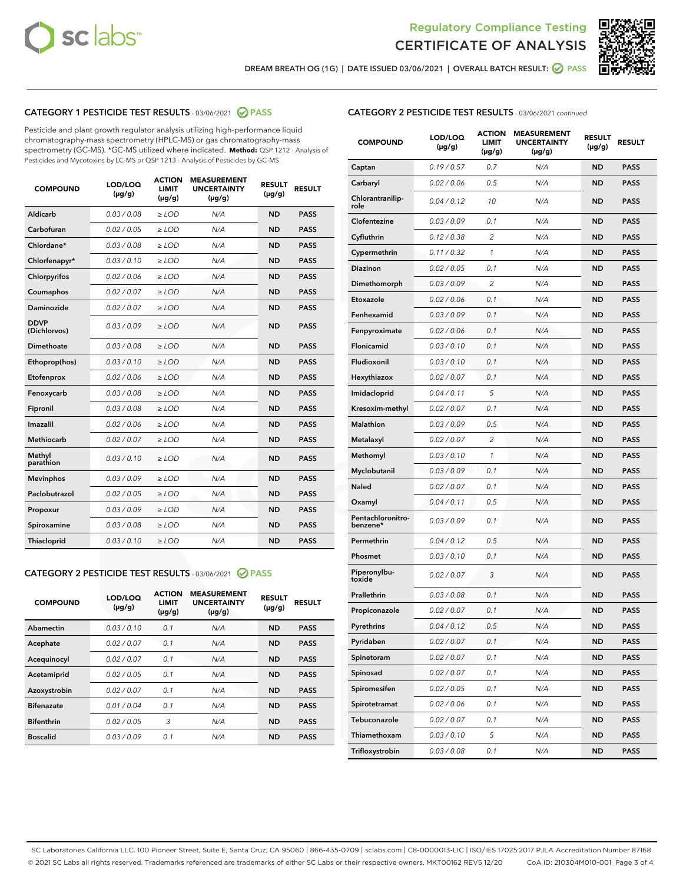



DREAM BREATH OG (1G) | DATE ISSUED 03/06/2021 | OVERALL BATCH RESULT: **⊘** PASS

#### CATEGORY 1 PESTICIDE TEST RESULTS - 03/06/2021 @ PASS

Pesticide and plant growth regulator analysis utilizing high-performance liquid chromatography-mass spectrometry (HPLC-MS) or gas chromatography-mass spectrometry (GC-MS). \*GC-MS utilized where indicated. **Method:** QSP 1212 - Analysis of Pesticides and Mycotoxins by LC-MS or QSP 1213 - Analysis of Pesticides by GC-MS

| <b>COMPOUND</b>             | LOD/LOQ<br>$(\mu g/g)$ | <b>ACTION</b><br>LIMIT<br>$(\mu g/g)$ | <b>MEASUREMENT</b><br><b>UNCERTAINTY</b><br>$(\mu g/g)$ | <b>RESULT</b><br>$(\mu g/g)$ | <b>RESULT</b> |
|-----------------------------|------------------------|---------------------------------------|---------------------------------------------------------|------------------------------|---------------|
| Aldicarb                    | 0.03/0.08              | $>$ LOD                               | N/A                                                     | <b>ND</b>                    | <b>PASS</b>   |
| Carbofuran                  | 0.02 / 0.05            | $\ge$ LOD                             | N/A                                                     | <b>ND</b>                    | <b>PASS</b>   |
| Chlordane*                  | 0.03 / 0.08            | $\ge$ LOD                             | N/A                                                     | <b>ND</b>                    | <b>PASS</b>   |
| Chlorfenapyr*               | 0.03/0.10              | $\ge$ LOD                             | N/A                                                     | <b>ND</b>                    | <b>PASS</b>   |
| Chlorpyrifos                | 0.02 / 0.06            | $\ge$ LOD                             | N/A                                                     | <b>ND</b>                    | <b>PASS</b>   |
| Coumaphos                   | 0.02 / 0.07            | $\ge$ LOD                             | N/A                                                     | <b>ND</b>                    | <b>PASS</b>   |
| Daminozide                  | 0.02/0.07              | $>$ LOD                               | N/A                                                     | <b>ND</b>                    | <b>PASS</b>   |
| <b>DDVP</b><br>(Dichlorvos) | 0.03/0.09              | $\ge$ LOD                             | N/A                                                     | <b>ND</b>                    | <b>PASS</b>   |
| <b>Dimethoate</b>           | 0.03 / 0.08            | $\ge$ LOD                             | N/A                                                     | <b>ND</b>                    | <b>PASS</b>   |
| Ethoprop(hos)               | 0.03/0.10              | $\ge$ LOD                             | N/A                                                     | <b>ND</b>                    | <b>PASS</b>   |
| Etofenprox                  | 0.02 / 0.06            | $\ge$ LOD                             | N/A                                                     | <b>ND</b>                    | <b>PASS</b>   |
| Fenoxycarb                  | 0.03 / 0.08            | $\ge$ LOD                             | N/A                                                     | <b>ND</b>                    | <b>PASS</b>   |
| Fipronil                    | 0.03 / 0.08            | $\ge$ LOD                             | N/A                                                     | <b>ND</b>                    | <b>PASS</b>   |
| Imazalil                    | 0.02 / 0.06            | $>$ LOD                               | N/A                                                     | <b>ND</b>                    | <b>PASS</b>   |
| Methiocarb                  | 0.02 / 0.07            | $>$ LOD                               | N/A                                                     | <b>ND</b>                    | <b>PASS</b>   |
| Methyl<br>parathion         | 0.03/0.10              | $>$ LOD                               | N/A                                                     | <b>ND</b>                    | <b>PASS</b>   |
| <b>Mevinphos</b>            | 0.03/0.09              | $>$ LOD                               | N/A                                                     | <b>ND</b>                    | <b>PASS</b>   |
| Paclobutrazol               | 0.02 / 0.05            | $>$ LOD                               | N/A                                                     | <b>ND</b>                    | <b>PASS</b>   |
| Propoxur                    | 0.03/0.09              | $\ge$ LOD                             | N/A                                                     | <b>ND</b>                    | <b>PASS</b>   |
| Spiroxamine                 | 0.03 / 0.08            | $\ge$ LOD                             | N/A                                                     | <b>ND</b>                    | <b>PASS</b>   |
| Thiacloprid                 | 0.03/0.10              | $\ge$ LOD                             | N/A                                                     | <b>ND</b>                    | <b>PASS</b>   |

#### CATEGORY 2 PESTICIDE TEST RESULTS - 03/06/2021 @ PASS

| <b>COMPOUND</b>   | LOD/LOQ<br>$(\mu g/g)$ | <b>ACTION</b><br><b>LIMIT</b><br>$(\mu g/g)$ | <b>MEASUREMENT</b><br><b>UNCERTAINTY</b><br>$(\mu g/g)$ | <b>RESULT</b><br>$(\mu g/g)$ | <b>RESULT</b> |
|-------------------|------------------------|----------------------------------------------|---------------------------------------------------------|------------------------------|---------------|
| Abamectin         | 0.03/0.10              | 0.1                                          | N/A                                                     | <b>ND</b>                    | <b>PASS</b>   |
| Acephate          | 0.02/0.07              | 0.1                                          | N/A                                                     | <b>ND</b>                    | <b>PASS</b>   |
| Acequinocyl       | 0.02/0.07              | 0.1                                          | N/A                                                     | <b>ND</b>                    | <b>PASS</b>   |
| Acetamiprid       | 0.02/0.05              | 0.1                                          | N/A                                                     | <b>ND</b>                    | <b>PASS</b>   |
| Azoxystrobin      | 0.02/0.07              | 0.1                                          | N/A                                                     | <b>ND</b>                    | <b>PASS</b>   |
| <b>Bifenazate</b> | 0.01/0.04              | 0.1                                          | N/A                                                     | <b>ND</b>                    | <b>PASS</b>   |
| <b>Bifenthrin</b> | 0.02/0.05              | 3                                            | N/A                                                     | <b>ND</b>                    | <b>PASS</b>   |
| <b>Boscalid</b>   | 0.03/0.09              | 0.1                                          | N/A                                                     | <b>ND</b>                    | <b>PASS</b>   |

#### CATEGORY 2 PESTICIDE TEST RESULTS - 03/06/2021 continued

| <b>COMPOUND</b>               | LOD/LOQ<br>(µg/g) | <b>ACTION</b><br>LIMIT<br>$(\mu g/g)$ | <b>MEASUREMENT</b><br><b>UNCERTAINTY</b><br>$(\mu g/g)$ | <b>RESULT</b><br>(µg/g) | <b>RESULT</b> |
|-------------------------------|-------------------|---------------------------------------|---------------------------------------------------------|-------------------------|---------------|
| Captan                        | 0.19/0.57         | 0.7                                   | N/A                                                     | <b>ND</b>               | <b>PASS</b>   |
| Carbaryl                      | 0.02 / 0.06       | 0.5                                   | N/A                                                     | <b>ND</b>               | <b>PASS</b>   |
| Chlorantranilip-<br>role      | 0.04 / 0.12       | 10                                    | N/A                                                     | <b>ND</b>               | <b>PASS</b>   |
| Clofentezine                  | 0.03 / 0.09       | 0.1                                   | N/A                                                     | <b>ND</b>               | <b>PASS</b>   |
| Cyfluthrin                    | 0.12 / 0.38       | 2                                     | N/A                                                     | <b>ND</b>               | <b>PASS</b>   |
| Cypermethrin                  | 0.11 / 0.32       | 1                                     | N/A                                                     | <b>ND</b>               | <b>PASS</b>   |
| <b>Diazinon</b>               | 0.02 / 0.05       | 0.1                                   | N/A                                                     | <b>ND</b>               | <b>PASS</b>   |
| Dimethomorph                  | 0.03 / 0.09       | 2                                     | N/A                                                     | ND                      | <b>PASS</b>   |
| Etoxazole                     | 0.02 / 0.06       | 0.1                                   | N/A                                                     | <b>ND</b>               | <b>PASS</b>   |
| Fenhexamid                    | 0.03 / 0.09       | 0.1                                   | N/A                                                     | <b>ND</b>               | <b>PASS</b>   |
| Fenpyroximate                 | 0.02 / 0.06       | 0.1                                   | N/A                                                     | <b>ND</b>               | <b>PASS</b>   |
| Flonicamid                    | 0.03/0.10         | 0.1                                   | N/A                                                     | <b>ND</b>               | <b>PASS</b>   |
| Fludioxonil                   | 0.03 / 0.10       | 0.1                                   | N/A                                                     | <b>ND</b>               | <b>PASS</b>   |
| Hexythiazox                   | 0.02 / 0.07       | 0.1                                   | N/A                                                     | ND                      | <b>PASS</b>   |
| Imidacloprid                  | 0.04 / 0.11       | 5                                     | N/A                                                     | <b>ND</b>               | <b>PASS</b>   |
| Kresoxim-methyl               | 0.02 / 0.07       | 0.1                                   | N/A                                                     | <b>ND</b>               | <b>PASS</b>   |
| Malathion                     | 0.03 / 0.09       | 0.5                                   | N/A                                                     | <b>ND</b>               | <b>PASS</b>   |
| Metalaxyl                     | 0.02 / 0.07       | 2                                     | N/A                                                     | <b>ND</b>               | <b>PASS</b>   |
| Methomyl                      | 0.03 / 0.10       | $\mathbf{1}$                          | N/A                                                     | <b>ND</b>               | <b>PASS</b>   |
| Myclobutanil                  | 0.03 / 0.09       | 0.1                                   | N/A                                                     | ND                      | <b>PASS</b>   |
| Naled                         | 0.02 / 0.07       | 0.1                                   | N/A                                                     | <b>ND</b>               | <b>PASS</b>   |
| Oxamyl                        | 0.04 / 0.11       | 0.5                                   | N/A                                                     | <b>ND</b>               | <b>PASS</b>   |
| Pentachloronitro-<br>benzene* | 0.03 / 0.09       | 0.1                                   | N/A                                                     | <b>ND</b>               | <b>PASS</b>   |
| Permethrin                    | 0.04 / 0.12       | 0.5                                   | N/A                                                     | <b>ND</b>               | <b>PASS</b>   |
| Phosmet                       | 0.03 / 0.10       | 0.1                                   | N/A                                                     | <b>ND</b>               | <b>PASS</b>   |
| Piperonylbu-<br>toxide        | 0.02 / 0.07       | 3                                     | N/A                                                     | <b>ND</b>               | <b>PASS</b>   |
| Prallethrin                   | 0.03 / 0.08       | 0.1                                   | N/A                                                     | <b>ND</b>               | <b>PASS</b>   |
| Propiconazole                 | 0.02 / 0.07       | 0.1                                   | N/A                                                     | <b>ND</b>               | <b>PASS</b>   |
| Pyrethrins                    | 0.04 / 0.12       | 0.5                                   | N/A                                                     | ND                      | PASS          |
| Pyridaben                     | 0.02 / 0.07       | 0.1                                   | N/A                                                     | <b>ND</b>               | <b>PASS</b>   |
| Spinetoram                    | 0.02 / 0.07       | 0.1                                   | N/A                                                     | <b>ND</b>               | <b>PASS</b>   |
| Spinosad                      | 0.02 / 0.07       | 0.1                                   | N/A                                                     | <b>ND</b>               | <b>PASS</b>   |
| Spiromesifen                  | 0.02 / 0.05       | 0.1                                   | N/A                                                     | <b>ND</b>               | <b>PASS</b>   |
| Spirotetramat                 | 0.02 / 0.06       | 0.1                                   | N/A                                                     | <b>ND</b>               | <b>PASS</b>   |
| Tebuconazole                  | 0.02 / 0.07       | 0.1                                   | N/A                                                     | <b>ND</b>               | <b>PASS</b>   |
| Thiamethoxam                  | 0.03 / 0.10       | 5                                     | N/A                                                     | <b>ND</b>               | <b>PASS</b>   |
| Trifloxystrobin               | 0.03 / 0.08       | 0.1                                   | N/A                                                     | <b>ND</b>               | <b>PASS</b>   |